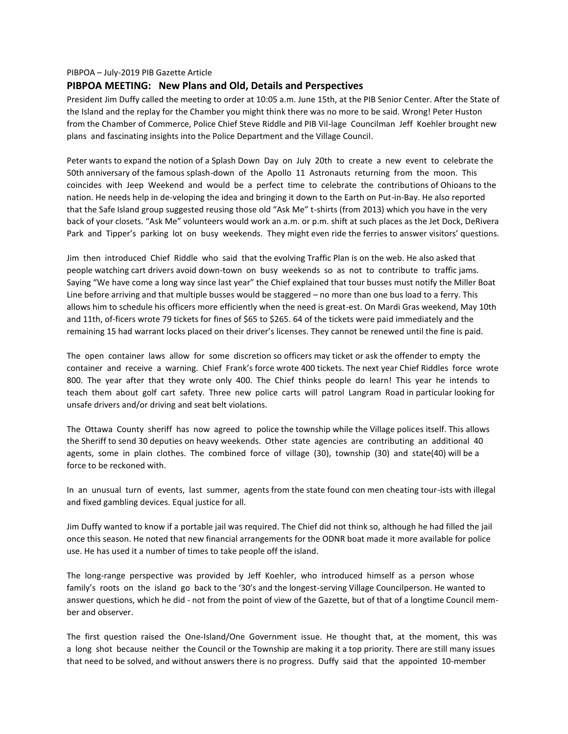#### PIBPOA – July-2019 PIB Gazette Article

#### **PIBPOA MEETING: New Plans and Old, Details and Perspectives**

President Jim Duffy called the meeting to order at 10:05 a.m. June 15th, at the PIB Senior Center. After the State of the Island and the replay for the Chamber you might think there was no more to be said. Wrong! Peter Huston from the Chamber of Commerce, Police Chief Steve Riddle and PIB Vil-lage Councilman Jeff Koehler brought new plans and fascinating insights into the Police Department and the Village Council.

Peter wants to expand the notion of a Splash Down Day on July 20th to create a new event to celebrate the 50th anniversary of the famous splash-down of the Apollo 11 Astronauts returning from the moon. This coincides with Jeep Weekend and would be a perfect time to celebrate the contributions of Ohioans to the nation. He needs help in de-veloping the idea and bringing it down to the Earth on Put-in-Bay. He also reported that the Safe Island group suggested reusing those old "Ask Me" t-shirts (from 2013) which you have in the very back of your closets. "Ask Me" volunteers would work an a.m. or p.m. shift at such places as the Jet Dock, DeRivera Park and Tipper's parking lot on busy weekends. They might even ride the ferries to answer visitors' questions.

Jim then introduced Chief Riddle who said that the evolving Traffic Plan is on the web. He also asked that people watching cart drivers avoid down-town on busy weekends so as not to contribute to traffic jams. Saying "We have come a long way since last year" the Chief explained that tour busses must notify the Miller Boat Line before arriving and that multiple busses would be staggered – no more than one bus load to a ferry. This allows him to schedule his officers more efficiently when the need is great-est. On Mardi Gras weekend, May 10th and 11th, of-ficers wrote 79 tickets for fines of \$65 to \$265. 64 of the tickets were paid immediately and the remaining 15 had warrant locks placed on their driver's licenses. They cannot be renewed until the fine is paid.

The open container laws allow for some discretion so officers may ticket or ask the offender to empty the container and receive a warning. Chief Frank's force wrote 400 tickets. The next year Chief Riddles force wrote 800. The year after that they wrote only 400. The Chief thinks people do learn! This year he intends to teach them about golf cart safety. Three new police carts will patrol Langram Road in particular looking for unsafe drivers and/or driving and seat belt violations.

The Ottawa County sheriff has now agreed to police the township while the Village polices itself. This allows the Sheriff to send 30 deputies on heavy weekends. Other state agencies are contributing an additional 40 agents, some in plain clothes. The combined force of village (30), township (30) and state(40) will be a force to be reckoned with.

In an unusual turn of events, last summer, agents from the state found con men cheating tour-ists with illegal and fixed gambling devices. Equal justice for all.

Jim Duffy wanted to know if a portable jail was required. The Chief did not think so, although he had filled the jail once this season. He noted that new financial arrangements for the ODNR boat made it more available for police use. He has used it a number of times to take people off the island.

The long-range perspective was provided by Jeff Koehler, who introduced himself as a person whose family's roots on the island go back to the '30's and the longest-serving Village Councilperson. He wanted to answer questions, which he did - not from the point of view of the Gazette, but of that of a longtime Council mem ber and observer.

The first question raised the One-Island/One Government issue. He thought that, at the moment, this was a long shot because neither the Council or the Township are making it a top priority. There are still many issues that need to be solved, and without answers there is no progress. Duffy said that the appointed 10-member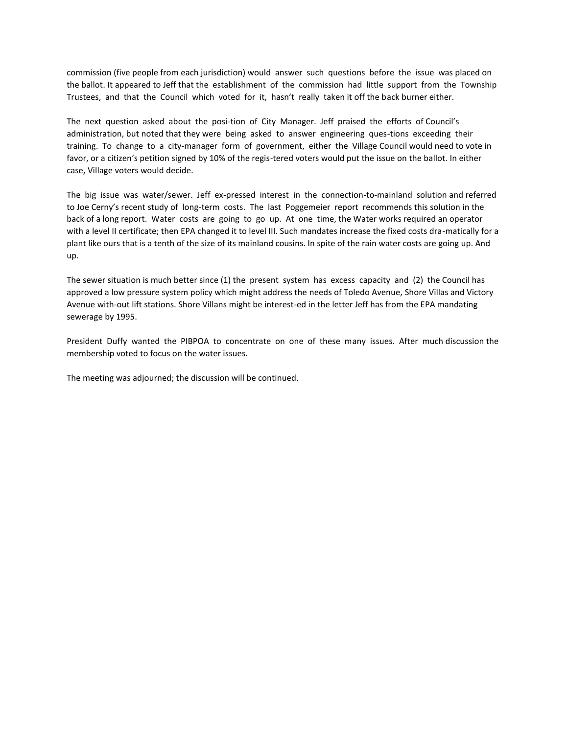commission (five people from each jurisdiction) would answer such questions before the issue was placed on the ballot. It appeared to Jeff that the establishment of the commission had little support from the Township Trustees, and that the Council which voted for it, hasn't really taken it off the back burner either.

The next question asked about the posi-tion of City Manager. Jeff praised the efforts of Council's administration, but noted that they were being asked to answer engineering ques-tions exceeding their training. To change to a city-manager form of government, either the Village Council would need to vote in favor, or a citizen's petition signed by 10% of the regis-tered voters would put the issue on the ballot. In either case, Village voters would decide.

The big issue was water/sewer. Jeff ex-pressed interest in the connection-to-mainland solution and referred to Joe Cerny's recent study of long-term costs. The last Poggemeier report recommends this solution in the back of a long report. Water costs are going to go up. At one time, the Water works required an operator with a level II certificate; then EPA changed it to level III. Such mandates increase the fixed costs dra-matically for a plant like ours that is a tenth of the size of its mainland cousins. In spite of the rain water costs are going up. And up.

The sewer situation is much better since (1) the present system has excess capacity and (2) the Council has approved a low pressure system policy which might address the needs of Toledo Avenue, Shore Villas and Victory Avenue with-out lift stations. Shore Villans might be interest-ed in the letter Jeff has from the EPA mandating sewerage by 1995.

President Duffy wanted the PIBPOA to concentrate on one of these many issues. After much discussion the membership voted to focus on the water issues.

The meeting was adjourned; the discussion will be continued.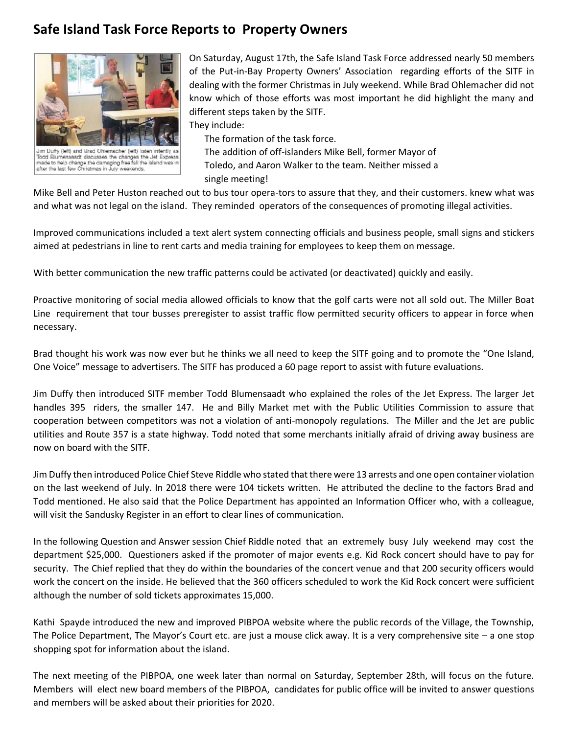# **Safe Island Task Force Reports to Property Owners**



Jim Duffy (left) and Brad Ohlemacher (left) listen intently aadt discusses the changes the Jet Expre made to help change the damaging free fall the island was in<br>after the last few Christmas in July weekends.

On Saturday, August 17th, the Safe Island Task Force addressed nearly 50 members of the Put-in-Bay Property Owners' Association regarding efforts of the SITF in dealing with the former Christmas in July weekend. While Brad Ohlemacher did not know which of those efforts was most important he did highlight the many and different steps taken by the SITF.

They include:

The formation of the task force.

The addition of off-islanders Mike Bell, former Mayor of Toledo, and Aaron Walker to the team. Neither missed a single meeting!

Mike Bell and Peter Huston reached out to bus tour opera-tors to assure that they, and their customers. knew what was and what was not legal on the island. They reminded operators of the consequences of promoting illegal activities.

Improved communications included a text alert system connecting officials and business people, small signs and stickers aimed at pedestrians in line to rent carts and media training for employees to keep them on message.

With better communication the new traffic patterns could be activated (or deactivated) quickly and easily.

Proactive monitoring of social media allowed officials to know that the golf carts were not all sold out. The Miller Boat Line requirement that tour busses preregister to assist traffic flow permitted security officers to appear in force when necessary.

Brad thought his work was now ever but he thinks we all need to keep the SITF going and to promote the "One Island, One Voice" message to advertisers. The SITF has produced a 60 page report to assist with future evaluations.

Jim Duffythen introduced SITF member Todd Blumensaadt who explained the roles of the Jet Express. The larger Jet handles 395 riders, the smaller 147. He and Billy Market met with the Public Utilities Commission to assure that cooperation between competitors was not a violation of anti-monopoly regulations. The Miller and the Jet are public utilities and Route 357 is a state highway. Todd noted that some merchants initially afraid of driving away business are now on board with the SITF.

Jim Duffy then introduced Police Chief Steve Riddle who stated that there were 13 arrests and one open container violation on the last weekend of July. In 2018 there were 104 tickets written. He attributed the decline to the factors Brad and Todd mentioned. He also said that the Police Department has appointed an Information Officer who, with a colleague, will visit the Sandusky Register in an effort to clear lines of communication.

In the following Question and Answer session Chief Riddle noted that an extremely busy July weekend may cost the department \$25,000. Questioners asked if the promoter of major events e.g. Kid Rock concert should have to pay for security. The Chief replied that they do within the boundaries of the concert venue and that 200 security officers would work the concert on the inside. He believed that the 360 officers scheduled to work the Kid Rock concert were sufficient although the number of sold tickets approximates 15,000.

Kathi Spayde introduced the new and improved PIBPOA website where the public records of the Village, the Township, The Police Department, The Mayor's Court etc. are just a mouse click away. It is a very comprehensive site – a one stop shopping spot for information about the island.

The next meeting of the PIBPOA, one week later than normal on Saturday, September 28th, will focus on the future. Members will elect new board members of the PIBPOA, candidates for public office will be invited to answer questions and members will be asked about their priorities for 2020.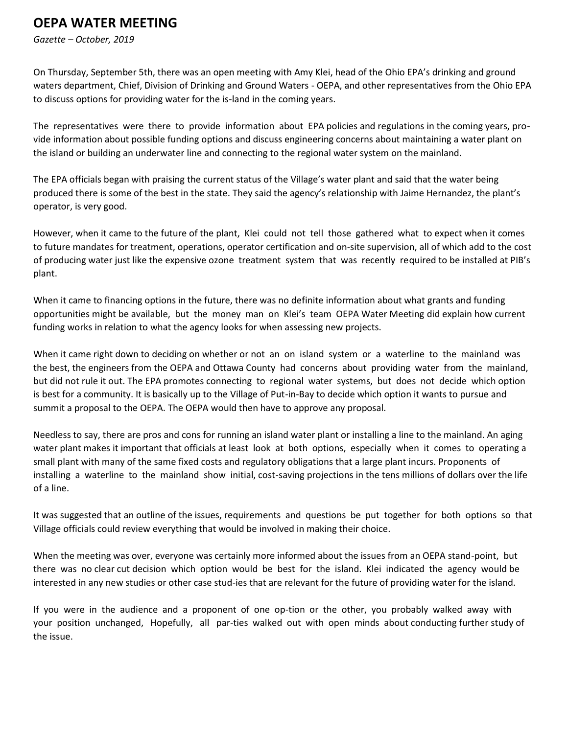# **OEPA WATER MEETING**

*Gazette – October, 2019*

On Thursday, September 5th, there was an open meeting with Amy Klei, head of the Ohio EPA's drinking and ground waters department, Chief, Division of Drinking and Ground Waters - OEPA, and other representatives from the Ohio EPA to discuss options for providing water for the is-land in the coming years.

The representatives were there to provide information about EPA policies and regulations in the coming years, pro vide information about possible funding options and discuss engineering concerns about maintaining a water plant on the island or building an underwater line and connecting to the regional water system on the mainland.

The EPA officials began with praising the current status of the Village's water plant and said that the water being produced there is some of the best in the state. They said the agency's relationship with Jaime Hernandez, the plant's operator, is very good.

However, when it came to the future of the plant, Klei could not tell those gathered what to expect when it comes to future mandates for treatment, operations, operator certification and on-site supervision, all of which add to the cost of producing water just like the expensive ozone treatment system that was recently required to be installed at PIB's plant.

When it came to financing options in the future, there was no definite information about what grants and funding opportunities might be available, but the money man on Klei's team OEPA Water Meeting did explain how current funding works in relation to what the agency looks for when assessing new projects.

When it came right down to deciding on whether or not an on island system or a waterline to the mainland was the best, the engineers from the OEPA and Ottawa County had concerns about providing water from the mainland, but did not rule it out. The EPA promotes connecting to regional water systems, but does not decide which option is best for a community. It is basically up to the Village of Put-in-Bay to decide which option it wants to pursue and summit a proposal to the OEPA. The OEPA would then have to approve any proposal.

Needless to say, there are pros and cons for running an island water plant or installing a line to the mainland. An aging water plant makes it important that officials at least look at both options, especially when it comes to operating a small plant with many of the same fixed costs and regulatory obligations that a large plant incurs. Proponents of installing a waterline to the mainland show initial, cost-saving projections in the tens millions of dollars over the life of a line.

It was suggested that an outline of the issues, requirements and questions be put together for both options so that Village officials could review everything that would be involved in making their choice.

When the meeting was over, everyone was certainly more informed about the issues from an OEPA stand-point, but there was no clear cut decision which option would be best for the island. Klei indicated the agency would be interested in any new studies or other case stud-ies that are relevant for the future of providing water for the island.

If you were in the audience and a proponent of one op-tion or the other, you probably walked away with your position unchanged, Hopefully, all par-ties walked out with open minds about conducting further study of the issue.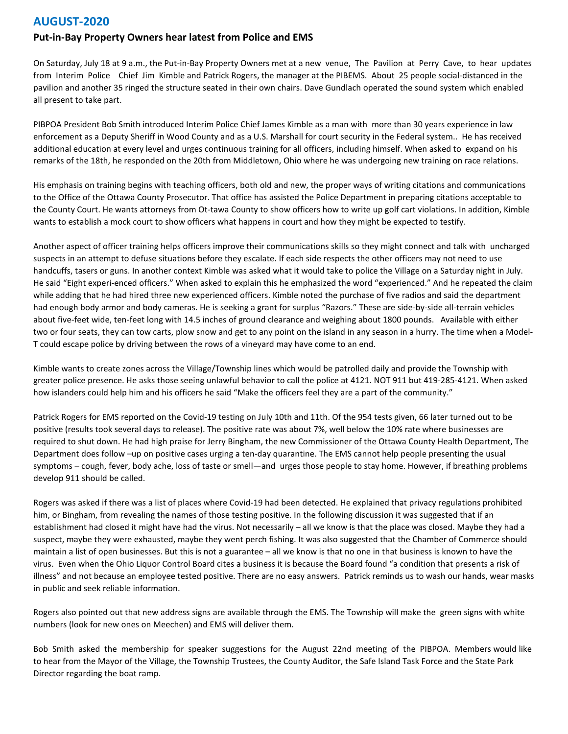#### **AUGUST-2020**

#### **Put-in-Bay Property Owners hear latest from Police and EMS**

On Saturday, July 18 at 9 a.m., the Put-in-Bay Property Owners met at a new venue, The Pavilion at Perry Cave, to hear updates from Interim Police Chief Jim Kimble and Patrick Rogers, the manager at the PIBEMS. About 25 people social-distanced in the pavilion and another 35 ringed the structure seated in their own chairs. Dave Gundlach operated the sound system which enabled all present to take part.

PIBPOA President Bob Smith introduced Interim Police Chief James Kimble as a man with more than 30 years experience in law enforcement as a Deputy Sheriff in Wood County and as a U.S. Marshall for court security in the Federal system.. He has received additional education at every level and urges continuous training for all officers, including himself. When asked to expand on his remarks of the 18th, he responded on the 20th from Middletown, Ohio where he was undergoing new training on race relations.

His emphasis on training begins with teaching officers, both old and new, the proper ways of writing citations and communications to the Office of the Ottawa County Prosecutor. That office has assisted the Police Department in preparing citations acceptable to the County Court. He wants attorneys from Ot-tawa County to show officers how to write up golf cart violations. In addition, Kimble wants to establish a mock court to show officers what happens in court and how they might be expected to testify.

Another aspect of officer training helps officers improve their communications skills so they might connect and talk with uncharged suspects in an attempt to defuse situations before they escalate. If each side respects the other officers may not need to use handcuffs, tasers or guns. In another context Kimble was asked what it would take to police the Village on a Saturday night in July. He said "Eight experi-enced officers." When asked to explain this he emphasized the word "experienced." And he repeated the claim while adding that he had hired three new experienced officers. Kimble noted the purchase of five radios and said the department had enough body armor and body cameras. He is seeking a grant for surplus "Razors." These are side-by-side all-terrain vehicles about five-feet wide, ten-feet long with 14.5 inches of ground clearance and weighing about 1800 pounds. Available with either two or four seats, they can tow carts, plow snow and get to any point on the island in any season in a hurry. The time when a Model-T could escape police by driving between the rows of a vineyard may have come to an end.

Kimble wants to create zones across the Village/Township lines which would be patrolled daily and provide the Township with greater police presence. He asks those seeing unlawful behavior to call the police at 4121. NOT 911 but 419-285-4121. When asked how islanders could help him and his officers he said "Make the officers feel they are a part of the community."

Patrick Rogers for EMS reported on the Covid-19 testing on July 10th and 11th. Of the 954 tests given, 66 later turned out to be positive (results took several days to release). The positive rate was about 7%, well below the 10% rate where businesses are required to shut down. He had high praise for Jerry Bingham, the new Commissioner of the Ottawa County Health Department, The Department does follow –up on positive cases urging a ten-day quarantine. The EMS cannot help people presenting the usual symptoms – cough, fever, body ache, loss of taste or smell—and urges those people to stay home. However, if breathing problems develop 911 should be called.

Rogers was asked if there was a list of places where Covid-19 had been detected. He explained that privacy regulations prohibited him, or Bingham, from revealing the names of those testing positive. In the following discussion it was suggested that if an establishment had closed it might have had the virus. Not necessarily – all we know is that the place was closed. Maybe they had a suspect, maybe they were exhausted, maybe they went perch fishing. It was also suggested that the Chamber of Commerce should maintain a list of open businesses. But this is not a guarantee – all we know is that no one in that business is known to have the virus. Even when the Ohio Liquor Control Board cites a business it is because the Board found "a condition that presents a risk of illness" and not because an employee tested positive. There are no easy answers. Patrick reminds us to wash our hands, wear masks in public and seek reliable information.

Rogers also pointed out that new address signs are available through the EMS. The Township will make the green signs with white numbers (look for new ones on Meechen) and EMS will deliver them.

Bob Smith asked the membership for speaker suggestions for the August 22nd meeting of the PIBPOA. Members would like to hear from the Mayor of the Village, the Township Trustees, the County Auditor, the Safe Island Task Force and the State Park Director regarding the boat ramp.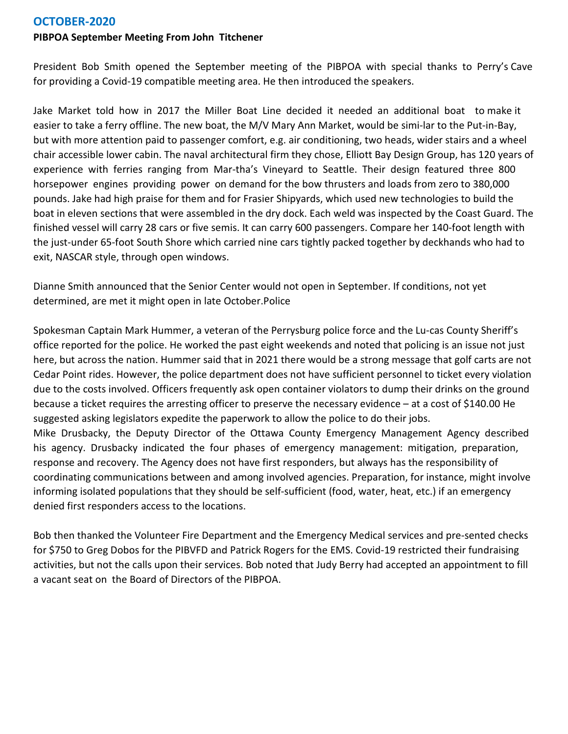### **OCTOBER-2020**

#### **PIBPOA September Meeting From John Titchener**

President Bob Smith opened the September meeting of the PIBPOA with special thanks to Perry's Cave for providing a Covid-19 compatible meeting area. He then introduced the speakers.

Jake Market told how in 2017 the Miller Boat Line decided it needed an additional boat to make it easier to take a ferry offline. The new boat, the M/V Mary Ann Market, would be simi-lar to the Put-in-Bay, but with more attention paid to passenger comfort, e.g. air conditioning, two heads, wider stairs and a wheel chair accessible lower cabin. The naval architectural firm they chose, Elliott Bay Design Group, has 120 years of experience with ferries ranging from Mar-tha's Vineyard to Seattle. Their design featured three 800 horsepower engines providing power on demand for the bow thrusters and loads from zero to 380,000 pounds. Jake had high praise for them and for Frasier Shipyards, which used new technologies to build the boat in eleven sections that were assembled in the dry dock. Each weld was inspected by the Coast Guard. The finished vessel will carry 28 cars or five semis. It can carry 600 passengers. Compare her 140-foot length with the just-under 65-foot South Shore which carried nine cars tightly packed together by deckhands who had to exit, NASCAR style, through open windows.

Dianne Smith announced that the Senior Center would not open in September. If conditions, not yet determined, are met it might open in late October.Police

Spokesman Captain Mark Hummer, a veteran of the Perrysburg police force and the Lu-cas County Sheriff's office reported for the police. He worked the past eight weekends and noted that policing is an issue not just here, but across the nation. Hummer said that in 2021 there would be a strong message that golf carts are not Cedar Point rides. However, the police department does not have sufficient personnel to ticket every violation due to the costs involved. Officers frequently ask open container violators to dump their drinks on the ground because a ticket requires the arresting officer to preserve the necessary evidence – at a cost of \$140.00 He suggested asking legislators expedite the paperwork to allow the police to do their jobs. Mike Drusbacky, the Deputy Director of the Ottawa County Emergency Management Agency described his agency. Drusbacky indicated the four phases of emergency management: mitigation, preparation, response and recovery. The Agency does not have first responders, but always has the responsibility of coordinating communications between and among involved agencies. Preparation, for instance, might involve informing isolated populations that they should be self-sufficient (food, water, heat, etc.) if an emergency denied first responders access to the locations.

Bob then thanked the Volunteer Fire Department and the Emergency Medical services and pre-sented checks for \$750 to Greg Dobos for the PIBVFD and Patrick Rogers for the EMS. Covid-19 restricted their fundraising activities, but not the calls upon their services. Bob noted that Judy Berry had accepted an appointment to fill a vacant seat on the Board of Directors of the PIBPOA.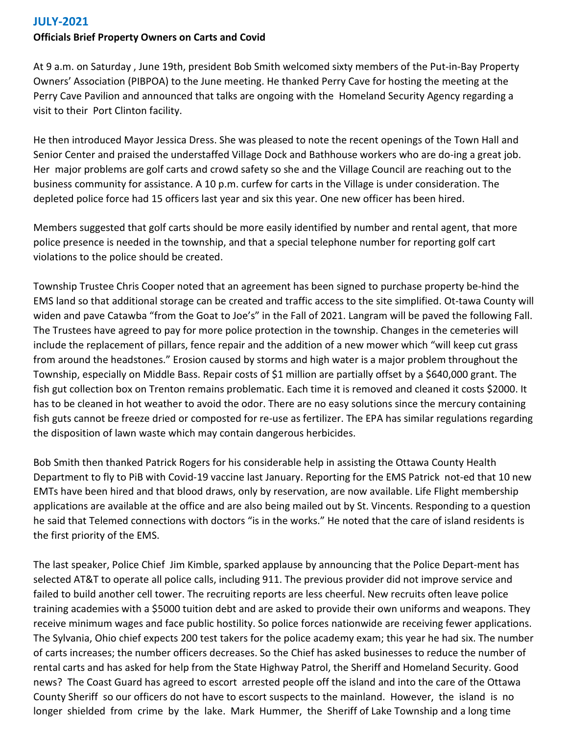# **JULY-2021**

### **Officials Brief Property Owners on Carts and Covid**

At 9 a.m. on Saturday , June 19th, president Bob Smith welcomed sixty members of the Put-in-Bay Property Owners' Association (PIBPOA) to the June meeting. He thanked Perry Cave for hosting the meeting at the Perry Cave Pavilion and announced that talks are ongoing with the Homeland Security Agency regarding a visit to their Port Clinton facility.

He then introduced Mayor Jessica Dress. She was pleased to note the recent openings of the Town Hall and Senior Center and praised the understaffed Village Dock and Bathhouse workers who are do-ing a great job. Her major problems are golf carts and crowd safety so she and the Village Council are reaching out to the business community for assistance. A 10 p.m. curfew for carts in the Village is under consideration. The depleted police force had 15 officers last year and six this year. One new officer has been hired.

Members suggested that golf carts should be more easily identified by number and rental agent, that more police presence is needed in the township, and that a special telephone number for reporting golf cart violations to the police should be created.

Township Trustee Chris Cooper noted that an agreement has been signed to purchase property be-hind the EMS land so that additional storage can be created and traffic access to the site simplified. Ot-tawa County will widen and pave Catawba "from the Goat to Joe's" in the Fall of 2021. Langram will be paved the following Fall. The Trustees have agreed to pay for more police protection in the township. Changes in the cemeteries will include the replacement of pillars, fence repair and the addition of a new mower which "will keep cut grass from around the headstones." Erosion caused by storms and high water is a major problem throughout the Township, especially on Middle Bass. Repair costs of \$1 million are partially offset by a \$640,000 grant. The fish gut collection box on Trenton remains problematic. Each time it is removed and cleaned it costs \$2000. It has to be cleaned in hot weather to avoid the odor. There are no easy solutions since the mercury containing fish guts cannot be freeze dried or composted for re-use as fertilizer. The EPA has similar regulations regarding the disposition of lawn waste which may contain dangerous herbicides.

Bob Smith then thanked Patrick Rogers for his considerable help in assisting the Ottawa County Health Department to fly to PiB with Covid-19 vaccine last January. Reporting for the EMS Patrick not-ed that 10 new EMTs have been hired and that blood draws, only by reservation, are now available. Life Flight membership applications are available at the office and are also being mailed out by St. Vincents. Responding to a question he said that Telemed connections with doctors "is in the works." He noted that the care of island residents is the first priority of the EMS.

The last speaker, Police Chief Jim Kimble, sparked applause by announcing that the Police Depart-ment has selected AT&T to operate all police calls, including 911. The previous provider did not improve service and failed to build another cell tower. The recruiting reports are less cheerful. New recruits often leave police training academies with a \$5000 tuition debt and are asked to provide their own uniforms and weapons. They receive minimum wages and face public hostility. So police forces nationwide are receiving fewer applications. The Sylvania, Ohio chief expects 200 test takers for the police academy exam; this year he had six. The number of carts increases; the number officers decreases. So the Chief has asked businesses to reduce the number of rental carts and has asked for help from the State Highway Patrol, the Sheriff and Homeland Security. Good news? The Coast Guard has agreed to escort arrested people off the island and into the care of the Ottawa County Sheriff so our officers do not have to escort suspects to the mainland. However, the island is no longer shielded from crime by the lake. Mark Hummer, the Sheriff of Lake Township and a long time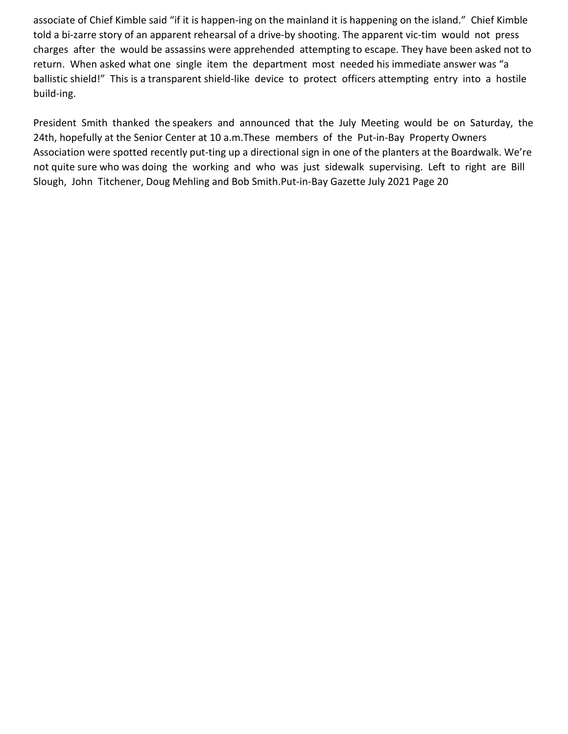associate of Chief Kimble said "if it is happen-ing on the mainland it is happening on the island." Chief Kimble told a bi-zarre story of an apparent rehearsal of a drive-by shooting. The apparent vic-tim would not press charges after the would be assassins were apprehended attempting to escape. They have been asked not to return. When asked what one single item the department most needed his immediate answer was "a ballistic shield!" This is a transparent shield-like device to protect officers attempting entry into a hostile build-ing.

President Smith thanked the speakers and announced that the July Meeting would be on Saturday, the 24th, hopefully at the Senior Center at 10 a.m.These members of the Put-in-Bay Property Owners Association were spotted recently put-ting up a directional sign in one of the planters at the Boardwalk. We're not quite sure who was doing the working and who was just sidewalk supervising. Left to right are Bill Slough, John Titchener, Doug Mehling and Bob Smith.Put-in-Bay Gazette July 2021 Page 20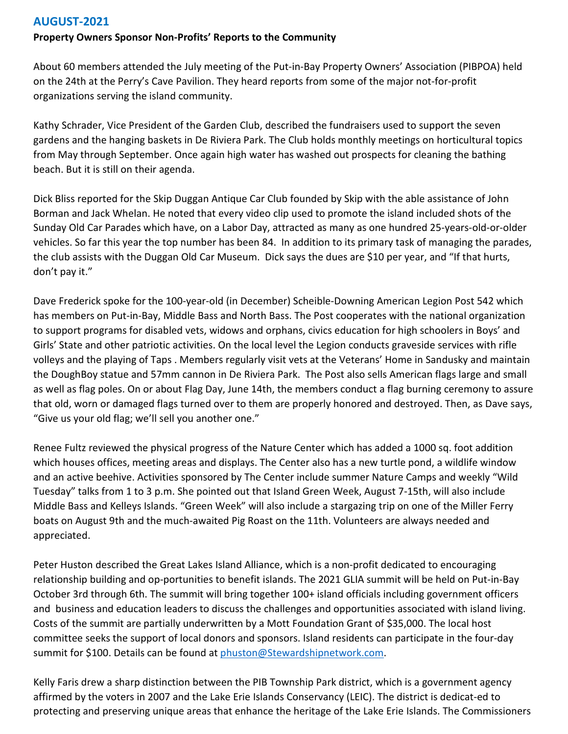# **AUGUST-2021**

### **Property Owners Sponsor Non-Profits' Reports to the Community**

About 60 members attended the July meeting of the Put-in-Bay Property Owners' Association (PIBPOA) held on the 24th at the Perry's Cave Pavilion. They heard reports from some of the major not-for-profit organizations serving the island community.

Kathy Schrader, Vice President of the Garden Club, described the fundraisers used to support the seven gardens and the hanging baskets in De Riviera Park. The Club holds monthly meetings on horticultural topics from May through September. Once again high water has washed out prospects for cleaning the bathing beach. But it is still on their agenda.

Dick Bliss reported for the Skip Duggan Antique Car Club founded by Skip with the able assistance of John Borman and Jack Whelan. He noted that every video clip used to promote the island included shots of the Sunday Old Car Parades which have, on a Labor Day, attracted as many as one hundred 25-years-old-or-older vehicles. So far this year the top number has been 84. In addition to its primary task of managing the parades, the club assists with the Duggan Old Car Museum. Dick says the dues are \$10 per year, and "If that hurts, don't pay it."

Dave Frederick spoke for the 100-year-old (in December) Scheible-Downing American Legion Post 542 which has members on Put-in-Bay, Middle Bass and North Bass. The Post cooperates with the national organization to support programs for disabled vets, widows and orphans, civics education for high schoolers in Boys' and Girls' State and other patriotic activities. On the local level the Legion conducts graveside services with rifle volleys and the playing of Taps . Members regularly visit vets at the Veterans' Home in Sandusky and maintain the DoughBoy statue and 57mm cannon in De Riviera Park. The Post also sells American flags large and small as well as flag poles. On or about Flag Day, June 14th, the members conduct a flag burning ceremony to assure that old, worn or damaged flags turned over to them are properly honored and destroyed. Then, as Dave says, "Give us your old flag; we'll sell you another one."

Renee Fultz reviewed the physical progress of the Nature Center which has added a 1000 sq. foot addition which houses offices, meeting areas and displays. The Center also has a new turtle pond, a wildlife window and an active beehive. Activities sponsored by The Center include summer Nature Camps and weekly "Wild Tuesday" talks from 1 to 3 p.m. She pointed out that Island Green Week, August 7-15th, will also include Middle Bass and Kelleys Islands. "Green Week" will also include a stargazing trip on one of the Miller Ferry boats on August 9th and the much-awaited Pig Roast on the 11th. Volunteers are always needed and appreciated.

Peter Huston described the Great Lakes Island Alliance, which is a non-profit dedicated to encouraging relationship building and op-portunities to benefit islands. The 2021 GLIA summit will be held on Put-in-Bay October 3rd through 6th. The summit will bring together 100+ island officials including government officers and business and education leaders to discuss the challenges and opportunities associated with island living. Costs of the summit are partially underwritten by a Mott Foundation Grant of \$35,000. The local host committee seeks the support of local donors and sponsors. Island residents can participate in the four-day summit for \$100. Details can be found at phuston@Stewardshipnetwork.com.

Kelly Faris drew a sharp distinction between the PIB Township Park district, which is a government agency affirmed by the voters in 2007 and the Lake Erie Islands Conservancy (LEIC). The district is dedicat-ed to protecting and preserving unique areas that enhance the heritage of the Lake Erie Islands. The Commissioners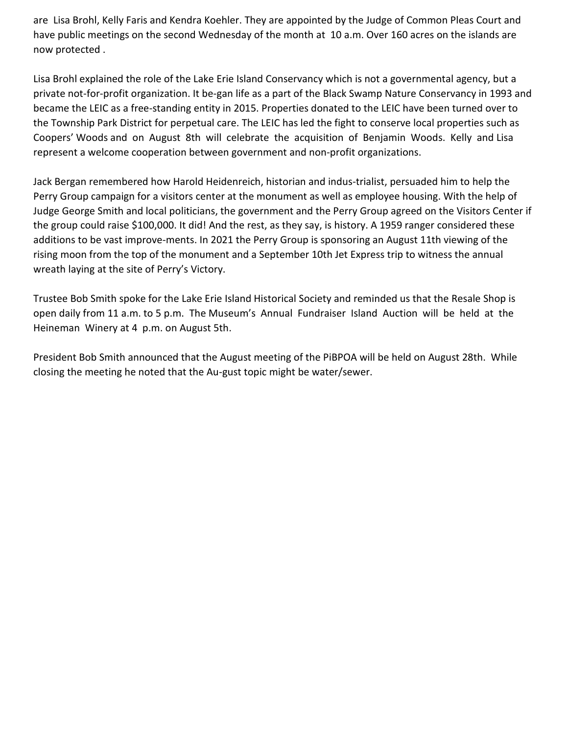are Lisa Brohl, Kelly Faris and Kendra Koehler. They are appointed by the Judge of Common Pleas Court and have public meetings on the second Wednesday of the month at 10 a.m. Over 160 acres on the islands are now protected .

Lisa Brohl explained the role of the Lake Erie Island Conservancy which is not a governmental agency, but a private not-for-profit organization. It be-gan life as a part of the Black Swamp Nature Conservancy in 1993 and became the LEIC as a free-standing entity in 2015. Properties donated to the LEIC have been turned over to the Township Park District for perpetual care. The LEIC has led the fight to conserve local properties such as Coopers' Woods and on August 8th will celebrate the acquisition of Benjamin Woods. Kelly and Lisa represent a welcome cooperation between government and non-profit organizations.

Jack Bergan remembered how Harold Heidenreich, historian and indus-trialist, persuaded him to help the Perry Group campaign for a visitors center at the monument as well as employee housing. With the help of Judge George Smith and local politicians, the government and the Perry Group agreed on the Visitors Center if the group could raise \$100,000. It did! And the rest, as they say, is history. A 1959 ranger considered these additions to be vast improve-ments. In 2021 the Perry Group is sponsoring an August 11th viewing of the rising moon from the top of the monument and a September 10th Jet Express trip to witness the annual wreath laying at the site of Perry's Victory.

Trustee Bob Smith spoke for the Lake Erie Island Historical Society and reminded us that the Resale Shop is open daily from 11 a.m. to 5 p.m. The Museum's Annual Fundraiser Island Auction will be held at the Heineman Winery at 4 p.m. on August 5th.

President Bob Smith announced that the August meeting of the PiBPOA will be held on August 28th. While closing the meeting he noted that the Au-gust topic might be water/sewer.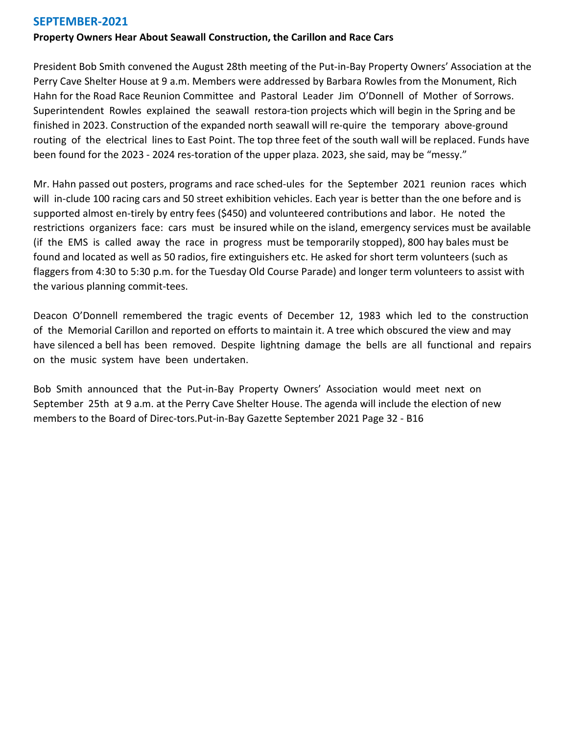### **SEPTEMBER-2021**

#### **Property Owners Hear About Seawall Construction, the Carillon and Race Cars**

President Bob Smith convened the August 28th meeting of the Put-in-Bay Property Owners' Association at the Perry Cave Shelter House at 9 a.m. Members were addressed by Barbara Rowles from the Monument, Rich Hahn for the Road Race Reunion Committee and Pastoral Leader Jim O'Donnell of Mother of Sorrows. Superintendent Rowles explained the seawall restora-tion projects which will begin in the Spring and be finished in 2023. Construction of the expanded north seawall will re-quire the temporary above-ground routing of the electrical lines to East Point. The top three feet of the south wall will be replaced. Funds have been found for the 2023 - 2024 res-toration of the upper plaza. 2023, she said, may be "messy."

Mr. Hahn passed out posters, programs and race sched-ules for the September 2021 reunion races which will in-clude 100 racing cars and 50 street exhibition vehicles. Each year is better than the one before and is supported almost en-tirely by entry fees (\$450) and volunteered contributions and labor. He noted the restrictions organizers face: cars must be insured while on the island, emergency services must be available (if the EMS is called away the race in progress must be temporarily stopped), 800 hay bales must be found and located as well as 50 radios, fire extinguishers etc. He asked for short term volunteers (such as flaggers from 4:30 to 5:30 p.m. for the Tuesday Old Course Parade) and longer term volunteers to assist with the various planning commit-tees.

Deacon O'Donnell remembered the tragic events of December 12, 1983 which led to the construction of the Memorial Carillon and reported on efforts to maintain it. A tree which obscured the view and may have silenced a bell has been removed. Despite lightning damage the bells are all functional and repairs on the music system have been undertaken.

Bob Smith announced that the Put-in-Bay Property Owners' Association would meet next on September 25th at 9 a.m. at the Perry Cave Shelter House. The agenda will include the election of new members to the Board of Direc-tors.Put-in-Bay Gazette September 2021 Page 32 - B16